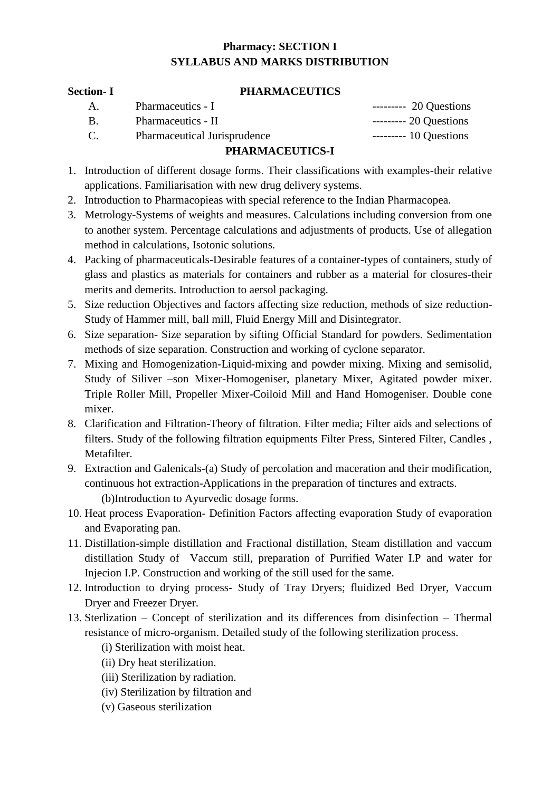## **Pharmacy: SECTION I SYLLABUS AND MARKS DISTRIBUTION**

#### **Section- I PHARMACEUTICS**

| А. | Pharmaceutics - I                   | --------- 20 Questions |
|----|-------------------------------------|------------------------|
| В. | Pharmaceutics - II                  | $---20$ Questions      |
| C. | <b>Pharmaceutical Jurisprudence</b> | $----- 10$ Questions   |

# **PHARMACEUTICS-I**

- 1. Introduction of different dosage forms. Their classifications with examples-their relative applications. Familiarisation with new drug delivery systems.
- 2. Introduction to Pharmacopieas with special reference to the Indian Pharmacopea.
- 3. Metrology-Systems of weights and measures. Calculations including conversion from one to another system. Percentage calculations and adjustments of products. Use of allegation method in calculations, Isotonic solutions.
- 4. Packing of pharmaceuticals-Desirable features of a container-types of containers, study of glass and plastics as materials for containers and rubber as a material for closures-their merits and demerits. Introduction to aersol packaging.
- 5. Size reduction Objectives and factors affecting size reduction, methods of size reduction-Study of Hammer mill, ball mill, Fluid Energy Mill and Disintegrator.
- 6. Size separation- Size separation by sifting Official Standard for powders. Sedimentation methods of size separation. Construction and working of cyclone separator.
- 7. Mixing and Homogenization-Liquid-mixing and powder mixing. Mixing and semisolid, Study of Siliver –son Mixer-Homogeniser, planetary Mixer, Agitated powder mixer. Triple Roller Mill, Propeller Mixer-Coiloid Mill and Hand Homogeniser. Double cone mixer.
- 8. Clarification and Filtration-Theory of filtration. Filter media; Filter aids and selections of filters. Study of the following filtration equipments Filter Press, Sintered Filter, Candles , Metafilter.
- 9. Extraction and Galenicals-(a) Study of percolation and maceration and their modification, continuous hot extraction-Applications in the preparation of tinctures and extracts. (b)Introduction to Ayurvedic dosage forms.
- 10. Heat process Evaporation- Definition Factors affecting evaporation Study of evaporation and Evaporating pan.
- 11. Distillation-simple distillation and Fractional distillation, Steam distillation and vaccum distillation Study of Vaccum still, preparation of Purrified Water I.P and water for Injecion I.P. Construction and working of the still used for the same.
- 12. Introduction to drying process- Study of Tray Dryers; fluidized Bed Dryer, Vaccum Dryer and Freezer Dryer.
- 13. Sterlization Concept of sterilization and its differences from disinfection Thermal resistance of micro-organism. Detailed study of the following sterilization process.
	- (i) Sterilization with moist heat.
	- (ii) Dry heat sterilization.
	- (iii) Sterilization by radiation.
	- (iv) Sterilization by filtration and
	- (v) Gaseous sterilization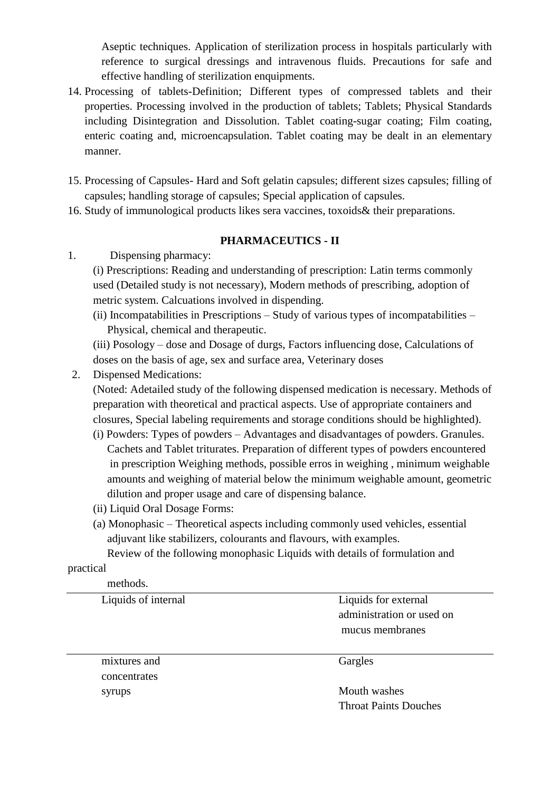Aseptic techniques. Application of sterilization process in hospitals particularly with reference to surgical dressings and intravenous fluids. Precautions for safe and effective handling of sterilization enquipments.

- 14. Processing of tablets-Definition; Different types of compressed tablets and their properties. Processing involved in the production of tablets; Tablets; Physical Standards including Disintegration and Dissolution. Tablet coating-sugar coating; Film coating, enteric coating and, microencapsulation. Tablet coating may be dealt in an elementary manner.
- 15. Processing of Capsules- Hard and Soft gelatin capsules; different sizes capsules; filling of capsules; handling storage of capsules; Special application of capsules.
- 16. Study of immunological products likes sera vaccines, toxoids& their preparations.

### **PHARMACEUTICS - II**

1. Dispensing pharmacy:

(i) Prescriptions: Reading and understanding of prescription: Latin terms commonly used (Detailed study is not necessary), Modern methods of prescribing, adoption of metric system. Calcuations involved in dispending.

(ii) Incompatabilities in Prescriptions – Study of various types of incompatabilities – Physical, chemical and therapeutic.

(iii) Posology – dose and Dosage of durgs, Factors influencing dose, Calculations of doses on the basis of age, sex and surface area, Veterinary doses

2. Dispensed Medications:

(Noted: Adetailed study of the following dispensed medication is necessary. Methods of preparation with theoretical and practical aspects. Use of appropriate containers and closures, Special labeling requirements and storage conditions should be highlighted).

- (i) Powders: Types of powders Advantages and disadvantages of powders. Granules. Cachets and Tablet triturates. Preparation of different types of powders encountered in prescription Weighing methods, possible erros in weighing , minimum weighable amounts and weighing of material below the minimum weighable amount, geometric dilution and proper usage and care of dispensing balance.
- (ii) Liquid Oral Dosage Forms:
- (a) Monophasic Theoretical aspects including commonly used vehicles, essential adjuvant like stabilizers, colourants and flavours, with examples.

Review of the following monophasic Liquids with details of formulation and

### practical

methods.

mixtures and Gargles concentrates

Liquids of internal Liquids for external administration or used on mucus membranes

syrups Mouth washes Throat Paints Douches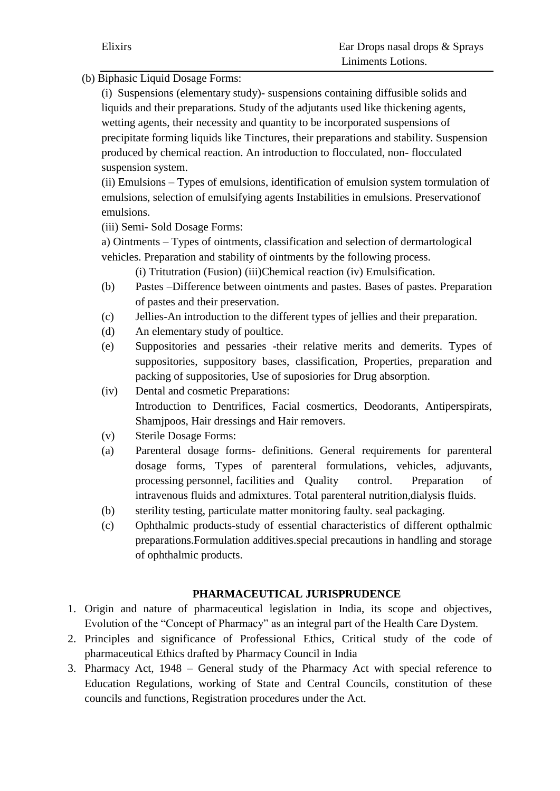(b) Biphasic Liquid Dosage Forms:

(i) Suspensions (elementary study)- suspensions containing diffusible solids and liquids and their preparations. Study of the adjutants used like thickening agents, wetting agents, their necessity and quantity to be incorporated suspensions of precipitate forming liquids like Tinctures, their preparations and stability. Suspension produced by chemical reaction. An introduction to flocculated, non- flocculated suspension system.

(ii) Emulsions – Types of emulsions, identification of emulsion system tormulation of emulsions, selection of emulsifying agents Instabilities in emulsions. Preservationof emulsions.

(iii) Semi- Sold Dosage Forms:

a) Ointments – Types of ointments, classification and selection of dermartological vehicles. Preparation and stability of ointments by the following process.

(i) Tritutration (Fusion) (iii)Chemical reaction (iv) Emulsification.

- (b) Pastes –Difference between ointments and pastes. Bases of pastes. Preparation of pastes and their preservation.
- (c) Jellies-An introduction to the different types of jellies and their preparation.
- (d) An elementary study of poultice.
- (e) Suppositories and pessaries -their relative merits and demerits. Types of suppositories, suppository bases, classification, Properties, preparation and packing of suppositories, Use of suposiories for Drug absorption.
- (iv) Dental and cosmetic Preparations: Introduction to Dentrifices, Facial cosmertics, Deodorants, Antiperspirats, Shamjpoos, Hair dressings and Hair removers.
- (v) Sterile Dosage Forms:
- (a) Parenteral dosage forms- definitions. General requirements for parenteral dosage forms, Types of parenteral formulations, vehicles, adjuvants, processing personnel, facilities and Quality control. Preparation of intravenous fluids and admixtures. Total parenteral nutrition,dialysis fluids.
- (b) sterility testing, particulate matter monitoring faulty. seal packaging.
- (c) Ophthalmic products-study of essential characteristics of different opthalmic preparations.Formulation additives.special precautions in handling and storage of ophthalmic products.

### **PHARMACEUTICAL JURISPRUDENCE**

- 1. Origin and nature of pharmaceutical legislation in India, its scope and objectives, Evolution of the "Concept of Pharmacy" as an integral part of the Health Care Dystem.
- 2. Principles and significance of Professional Ethics, Critical study of the code of pharmaceutical Ethics drafted by Pharmacy Council in India
- 3. Pharmacy Act, 1948 General study of the Pharmacy Act with special reference to Education Regulations, working of State and Central Councils, constitution of these councils and functions, Registration procedures under the Act.